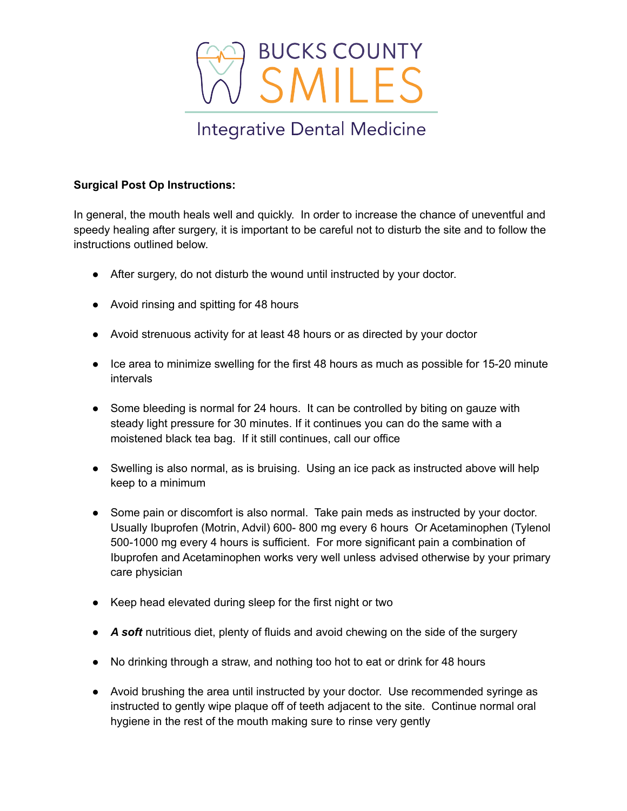

## **Surgical Post Op Instructions:**

In general, the mouth heals well and quickly. In order to increase the chance of uneventful and speedy healing after surgery, it is important to be careful not to disturb the site and to follow the instructions outlined below.

- After surgery, do not disturb the wound until instructed by your doctor.
- Avoid rinsing and spitting for 48 hours
- Avoid strenuous activity for at least 48 hours or as directed by your doctor
- Ice area to minimize swelling for the first 48 hours as much as possible for 15-20 minute intervals
- Some bleeding is normal for 24 hours. It can be controlled by biting on gauze with steady light pressure for 30 minutes. If it continues you can do the same with a moistened black tea bag. If it still continues, call our office
- Swelling is also normal, as is bruising. Using an ice pack as instructed above will help keep to a minimum
- Some pain or discomfort is also normal. Take pain meds as instructed by your doctor. Usually Ibuprofen (Motrin, Advil) 600- 800 mg every 6 hours Or Acetaminophen (Tylenol 500-1000 mg every 4 hours is sufficient. For more significant pain a combination of Ibuprofen and Acetaminophen works very well unless advised otherwise by your primary care physician
- Keep head elevated during sleep for the first night or two
- **A soft** nutritious diet, plenty of fluids and avoid chewing on the side of the surgery
- No drinking through a straw, and nothing too hot to eat or drink for 48 hours
- Avoid brushing the area until instructed by your doctor. Use recommended syringe as instructed to gently wipe plaque off of teeth adjacent to the site. Continue normal oral hygiene in the rest of the mouth making sure to rinse very gently